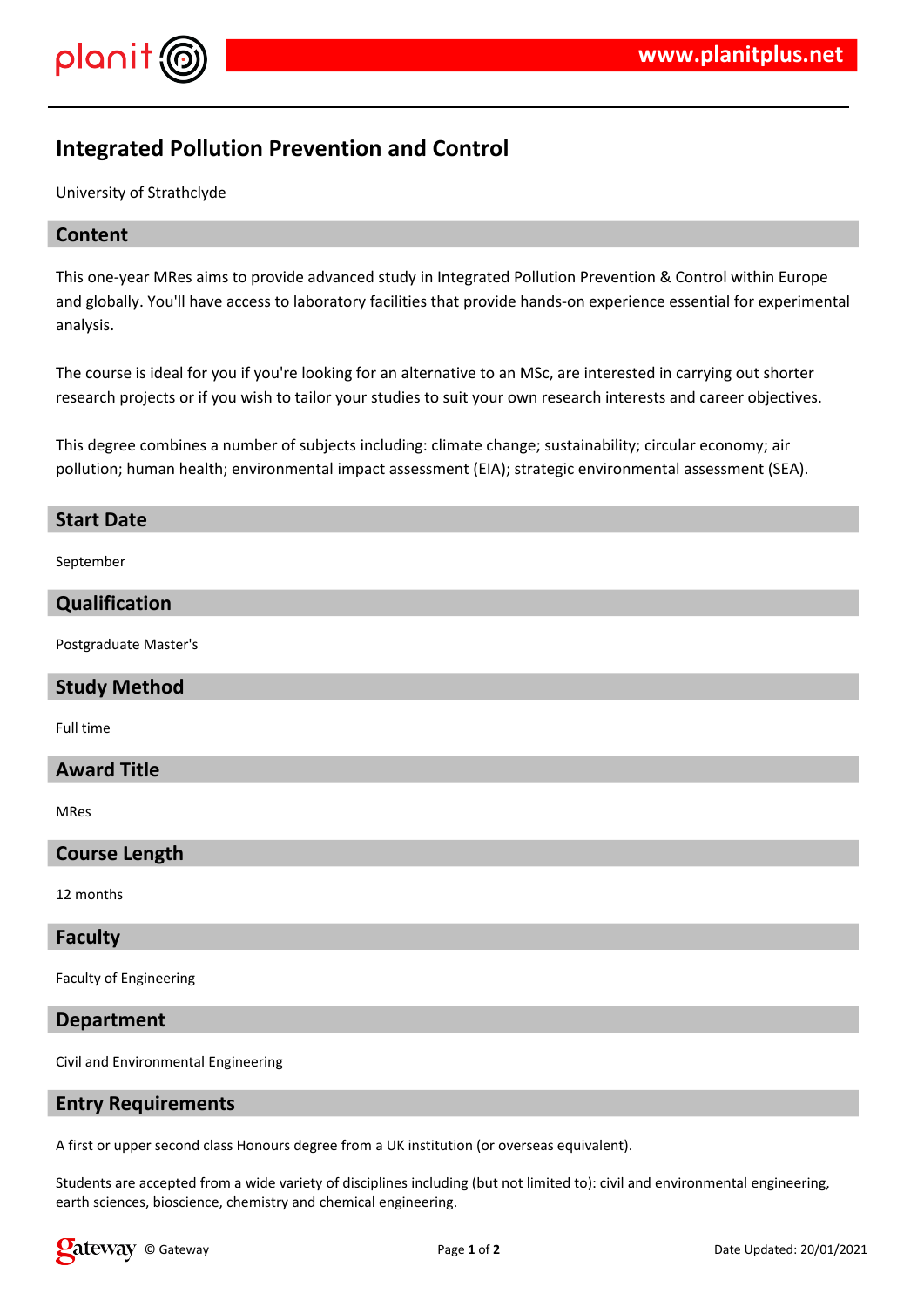

# **Integrated Pollution Prevention and Control**

University of Strathclyde

# **Content**

This one-year MRes aims to provide advanced study in Integrated Pollution Prevention & Control within Europe and globally. You'll have access to laboratory facilities that provide hands-on experience essential for experimental analysis.

The course is ideal for you if you're looking for an alternative to an MSc, are interested in carrying out shorter research projects or if you wish to tailor your studies to suit your own research interests and career objectives.

This degree combines a number of subjects including: climate change; sustainability; circular economy; air pollution; human health; environmental impact assessment (EIA); strategic environmental assessment (SEA).

#### **Start Date**

September

# **Qualification**

Postgraduate Master's

#### **Study Method**

Full time

# **Award Title**

MRes

# **Course Length**

12 months

#### **Faculty**

Faculty of Engineering

#### **Department**

Civil and Environmental Engineering

# **Entry Requirements**

A first or upper second class Honours degree from a UK institution (or overseas equivalent).

Students are accepted from a wide variety of disciplines including (but not limited to): civil and environmental engineering, earth sciences, bioscience, chemistry and chemical engineering.